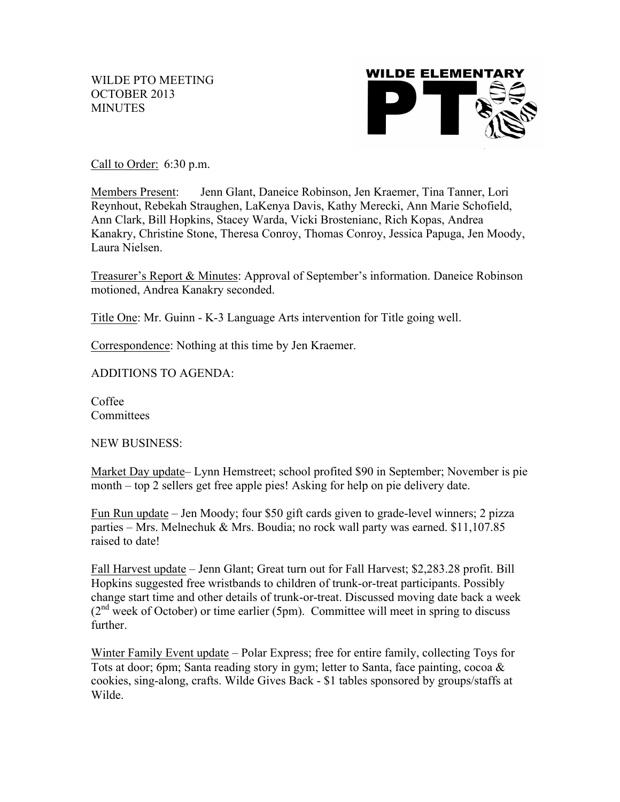WILDE PTO MEETING OCTOBER 2013 **MINUTES** 



Call to Order: 6:30 p.m.

Members Present: Jenn Glant, Daneice Robinson, Jen Kraemer, Tina Tanner, Lori Reynhout, Rebekah Straughen, LaKenya Davis, Kathy Merecki, Ann Marie Schofield, Ann Clark, Bill Hopkins, Stacey Warda, Vicki Brostenianc, Rich Kopas, Andrea Kanakry, Christine Stone, Theresa Conroy, Thomas Conroy, Jessica Papuga, Jen Moody, Laura Nielsen.

Treasurer's Report & Minutes: Approval of September's information. Daneice Robinson motioned, Andrea Kanakry seconded.

Title One: Mr. Guinn - K-3 Language Arts intervention for Title going well.

Correspondence: Nothing at this time by Jen Kraemer.

ADDITIONS TO AGENDA:

Coffee **Committees** 

NEW BUSINESS:

Market Day update– Lynn Hemstreet; school profited \$90 in September; November is pie month – top 2 sellers get free apple pies! Asking for help on pie delivery date.

Fun Run update – Jen Moody; four \$50 gift cards given to grade-level winners; 2 pizza parties – Mrs. Melnechuk & Mrs. Boudia; no rock wall party was earned. \$11,107.85 raised to date!

Fall Harvest update – Jenn Glant; Great turn out for Fall Harvest; \$2,283.28 profit. Bill Hopkins suggested free wristbands to children of trunk-or-treat participants. Possibly change start time and other details of trunk-or-treat. Discussed moving date back a week  $(2<sup>nd</sup> week of October)$  or time earlier (5pm). Committee will meet in spring to discuss further.

Winter Family Event update – Polar Express; free for entire family, collecting Toys for Tots at door; 6pm; Santa reading story in gym; letter to Santa, face painting, cocoa & cookies, sing-along, crafts. Wilde Gives Back - \$1 tables sponsored by groups/staffs at Wilde.